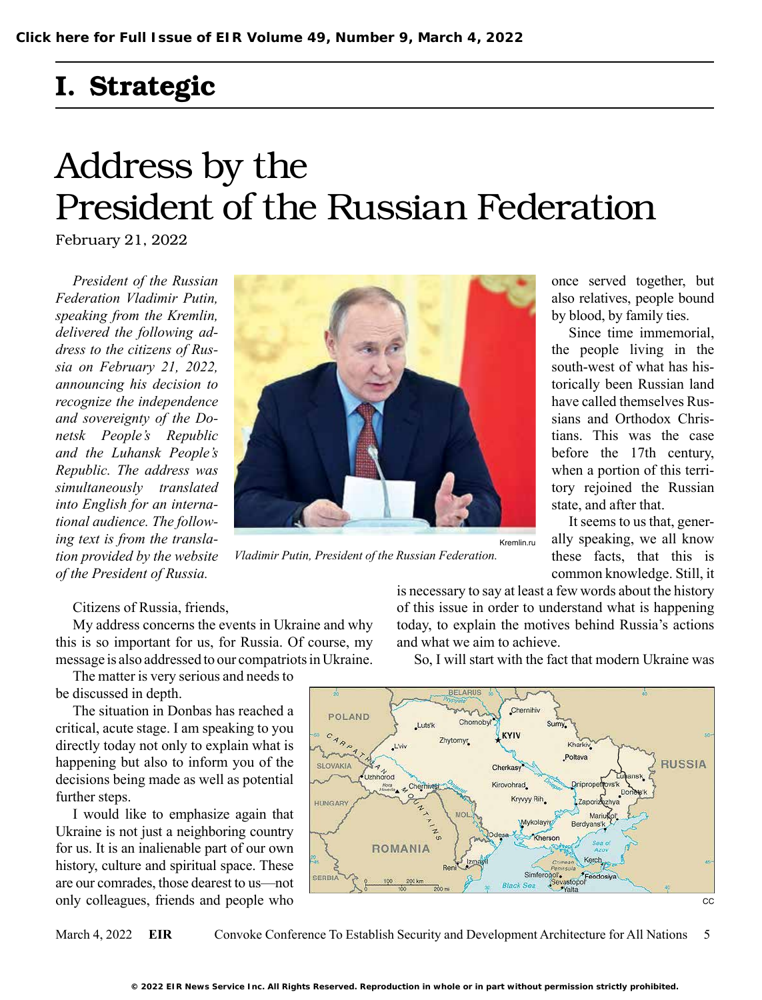# I. Strategic

# Address by the President of the Russian Federation

February 21, 2022

*President of the Russian Federation Vladimir Putin, speaking from the Kremlin, delivered the following address to the citizens of Russia on February 21, 2022, announcing his decision to recognize the independence and sovereignty of the Donetsk People's Republic and the Luhansk People's Republic. The address was simultaneously translated into English for an international audience. The following text is from the translation provided by the website of the President of Russia.* 



*Vladimir Putin, President of the Russian Federation.*

once served together, but also relatives, people bound by blood, by family ties.

Since time immemorial, the people living in the south-west of what has historically been Russian land have called themselves Russians and Orthodox Christians. This was the case before the 17th century, when a portion of this territory rejoined the Russian state, and after that.

It seems to us that, generally speaking, we all know these facts, that this is common knowledge. Still, it

Citizens of Russia, friends,

My address concerns the events in Ukraine and why this is so important for us, for Russia. Of course, my message is also addressed to our compatriots in Ukraine.

The matter is very serious and needs to be discussed in depth.

The situation in Donbas has reached a critical, acute stage. I am speaking to you directly today not only to explain what is happening but also to inform you of the decisions being made as well as potential further steps.

I would like to emphasize again that Ukraine is not just a neighboring country for us. It is an inalienable part of our own history, culture and spiritual space. These are our comrades, those dearest to us—not only colleagues, friends and people who

is necessary to say at least a few words about the history of this issue in order to understand what is happening today, to explain the motives behind Russia's actions and what we aim to achieve.

So, I will start with the fact that modern Ukraine was



March 4, 2022 **EIR** Convoke Conference To Establish Security and Development Architecture for All Nations 5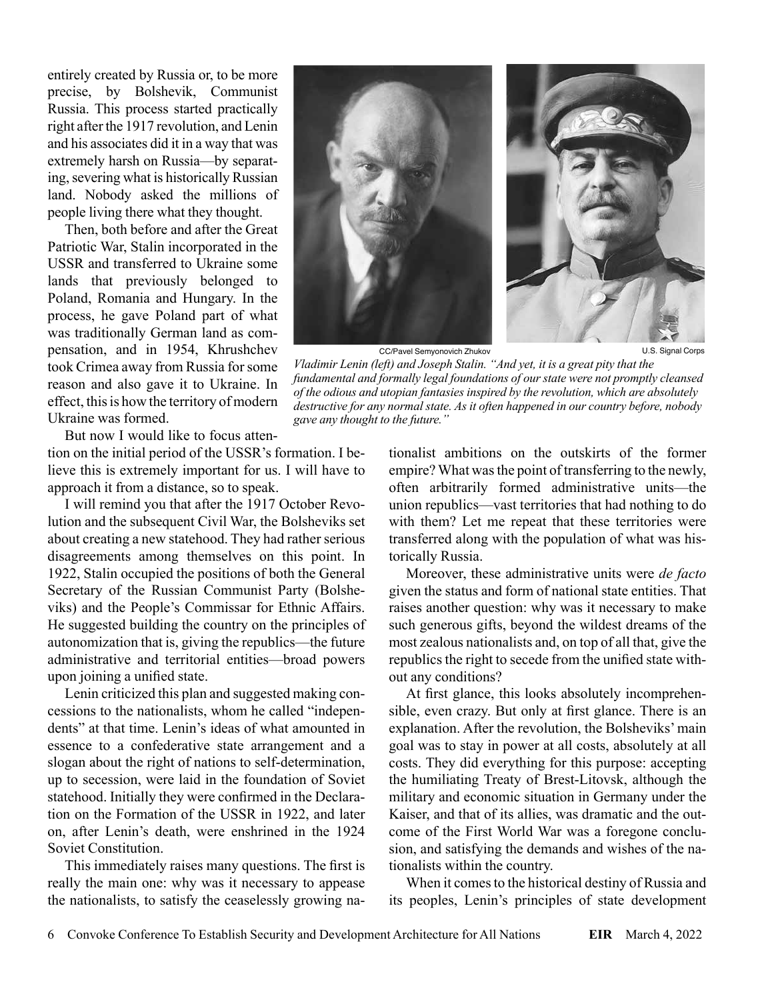entirely created by Russia or, to be more precise, by Bolshevik, Communist Russia. This process started practically right after the 1917 revolution, and Lenin and his associates did it in a way that was extremely harsh on Russia—by separating, severing what is historically Russian land. Nobody asked the millions of people living there what they thought.

Then, both before and after the Great Patriotic War, Stalin incorporated in the USSR and transferred to Ukraine some lands that previously belonged to Poland, Romania and Hungary. In the process, he gave Poland part of what was traditionally German land as compensation, and in 1954, Khrushchev took Crimea away from Russia for some reason and also gave it to Ukraine. In effect, this is how the territory of modern Ukraine was formed.

CC/Pavel Semyonovich Zhukov *Vladimir Lenin (left) and Joseph Stalin. "And yet, it is a great pity that the fundamental and formally legal foundations of our state were not promptly cleansed* 

*of the odious and utopian fantasies inspired by the revolution, which are absolutely destructive for any normal state. As it often happened in our country before, nobody* 

But now I would like to focus atten-

tion on the initial period of the USSR's formation. I believe this is extremely important for us. I will have to approach it from a distance, so to speak.

I will remind you that after the 1917 October Revolution and the subsequent Civil War, the Bolsheviks set about creating a new statehood. They had rather serious disagreements among themselves on this point. In 1922, Stalin occupied the positions of both the General Secretary of the Russian Communist Party (Bolsheviks) and the People's Commissar for Ethnic Affairs. He suggested building the country on the principles of autonomization that is, giving the republics—the future administrative and territorial entities—broad powers upon joining a unified state.

Lenin criticized this plan and suggested making concessions to the nationalists, whom he called "independents" at that time. Lenin's ideas of what amounted in essence to a confederative state arrangement and a slogan about the right of nations to self-determination, up to secession, were laid in the foundation of Soviet statehood. Initially they were confirmed in the Declaration on the Formation of the USSR in 1922, and later on, after Lenin's death, were enshrined in the 1924 Soviet Constitution.

This immediately raises many questions. The first is really the main one: why was it necessary to appease the nationalists, to satisfy the ceaselessly growing nationalist ambitions on the outskirts of the former empire? What was the point of transferring to the newly, often arbitrarily formed administrative units—the union republics—vast territories that had nothing to do with them? Let me repeat that these territories were transferred along with the population of what was historically Russia.

Moreover, these administrative units were *de facto* given the status and form of national state entities. That raises another question: why was it necessary to make such generous gifts, beyond the wildest dreams of the most zealous nationalists and, on top of all that, give the republics the right to secede from the unified state without any conditions?

At first glance, this looks absolutely incomprehensible, even crazy. But only at first glance. There is an explanation. After the revolution, the Bolsheviks' main goal was to stay in power at all costs, absolutely at all costs. They did everything for this purpose: accepting the humiliating Treaty of Brest-Litovsk, although the military and economic situation in Germany under the Kaiser, and that of its allies, was dramatic and the outcome of the First World War was a foregone conclusion, and satisfying the demands and wishes of the nationalists within the country.

When it comes to the historical destiny of Russia and its peoples, Lenin's principles of state development

*gave any thought to the future."*

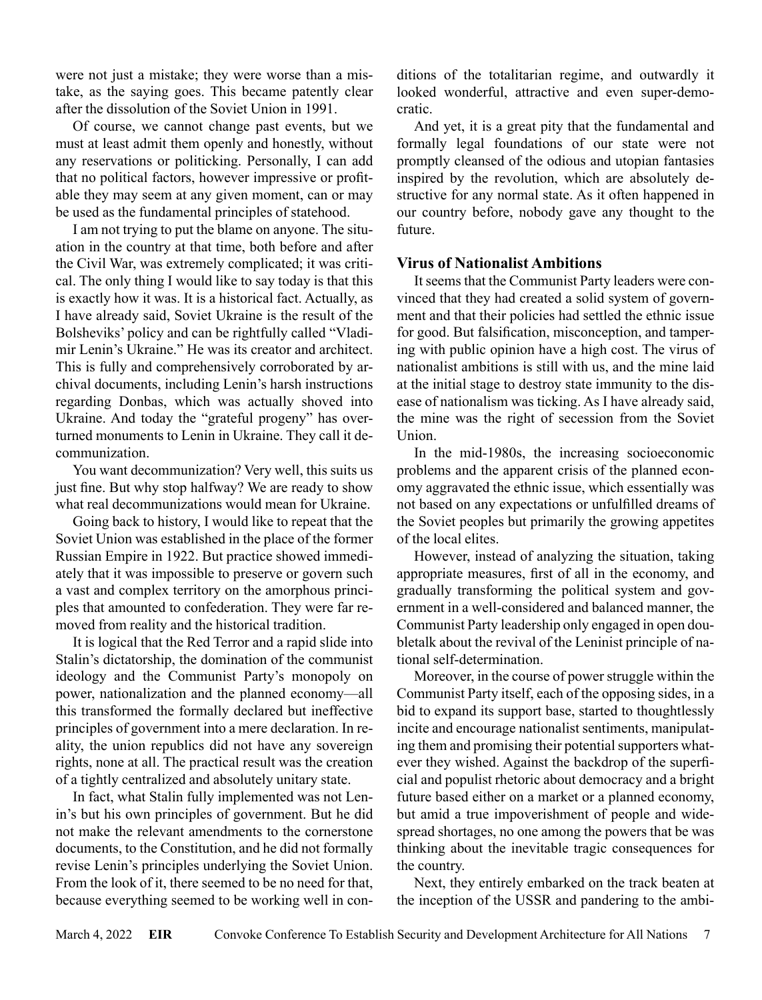were not just a mistake; they were worse than a mistake, as the saying goes. This became patently clear after the dissolution of the Soviet Union in 1991.

Of course, we cannot change past events, but we must at least admit them openly and honestly, without any reservations or politicking. Personally, I can add that no political factors, however impressive or profitable they may seem at any given moment, can or may be used as the fundamental principles of statehood.

I am not trying to put the blame on anyone. The situation in the country at that time, both before and after the Civil War, was extremely complicated; it was critical. The only thing I would like to say today is that this is exactly how it was. It is a historical fact. Actually, as I have already said, Soviet Ukraine is the result of the Bolsheviks' policy and can be rightfully called "Vladimir Lenin's Ukraine." He was its creator and architect. This is fully and comprehensively corroborated by archival documents, including Lenin's harsh instructions regarding Donbas, which was actually shoved into Ukraine. And today the "grateful progeny" has overturned monuments to Lenin in Ukraine. They call it decommunization.

You want decommunization? Very well, this suits us just fine. But why stop halfway? We are ready to show what real decommunizations would mean for Ukraine.

Going back to history, I would like to repeat that the Soviet Union was established in the place of the former Russian Empire in 1922. But practice showed immediately that it was impossible to preserve or govern such a vast and complex territory on the amorphous principles that amounted to confederation. They were far removed from reality and the historical tradition.

It is logical that the Red Terror and a rapid slide into Stalin's dictatorship, the domination of the communist ideology and the Communist Party's monopoly on power, nationalization and the planned economy—all this transformed the formally declared but ineffective principles of government into a mere declaration. In reality, the union republics did not have any sovereign rights, none at all. The practical result was the creation of a tightly centralized and absolutely unitary state.

In fact, what Stalin fully implemented was not Lenin's but his own principles of government. But he did not make the relevant amendments to the cornerstone documents, to the Constitution, and he did not formally revise Lenin's principles underlying the Soviet Union. From the look of it, there seemed to be no need for that, because everything seemed to be working well in conditions of the totalitarian regime, and outwardly it looked wonderful, attractive and even super-democratic.

And yet, it is a great pity that the fundamental and formally legal foundations of our state were not promptly cleansed of the odious and utopian fantasies inspired by the revolution, which are absolutely destructive for any normal state. As it often happened in our country before, nobody gave any thought to the future.

# **Virus of Nationalist Ambitions**

It seems that the Communist Party leaders were convinced that they had created a solid system of government and that their policies had settled the ethnic issue for good. But falsification, misconception, and tampering with public opinion have a high cost. The virus of nationalist ambitions is still with us, and the mine laid at the initial stage to destroy state immunity to the disease of nationalism was ticking. As I have already said, the mine was the right of secession from the Soviet Union.

In the mid-1980s, the increasing socioeconomic problems and the apparent crisis of the planned economy aggravated the ethnic issue, which essentially was not based on any expectations or unfulfilled dreams of the Soviet peoples but primarily the growing appetites of the local elites.

However, instead of analyzing the situation, taking appropriate measures, first of all in the economy, and gradually transforming the political system and government in a well-considered and balanced manner, the Communist Party leadership only engaged in open doubletalk about the revival of the Leninist principle of national self-determination.

Moreover, in the course of power struggle within the Communist Party itself, each of the opposing sides, in a bid to expand its support base, started to thoughtlessly incite and encourage nationalist sentiments, manipulating them and promising their potential supporters whatever they wished. Against the backdrop of the superficial and populist rhetoric about democracy and a bright future based either on a market or a planned economy, but amid a true impoverishment of people and widespread shortages, no one among the powers that be was thinking about the inevitable tragic consequences for the country.

Next, they entirely embarked on the track beaten at the inception of the USSR and pandering to the ambi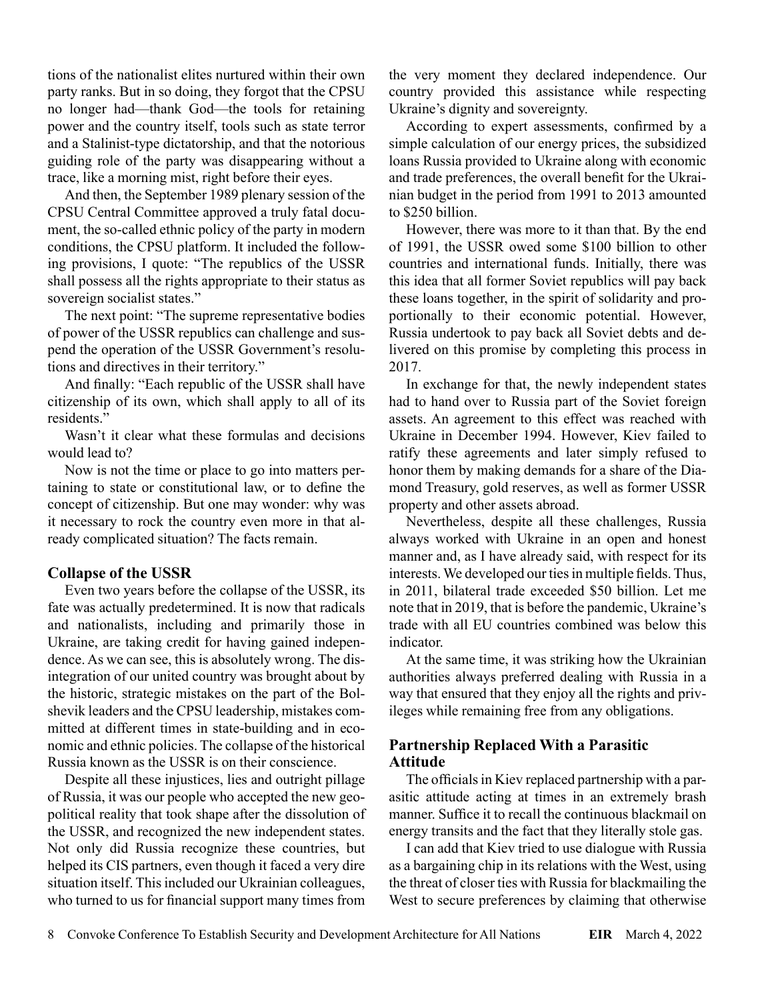tions of the nationalist elites nurtured within their own party ranks. But in so doing, they forgot that the CPSU no longer had—thank God—the tools for retaining power and the country itself, tools such as state terror and a Stalinist-type dictatorship, and that the notorious guiding role of the party was disappearing without a trace, like a morning mist, right before their eyes.

And then, the September 1989 plenary session of the CPSU Central Committee approved a truly fatal document, the so-called ethnic policy of the party in modern conditions, the CPSU platform. It included the following provisions, I quote: "The republics of the USSR shall possess all the rights appropriate to their status as sovereign socialist states."

The next point: "The supreme representative bodies of power of the USSR republics can challenge and suspend the operation of the USSR Government's resolutions and directives in their territory."

And finally: "Each republic of the USSR shall have citizenship of its own, which shall apply to all of its residents."

Wasn't it clear what these formulas and decisions would lead to?

Now is not the time or place to go into matters pertaining to state or constitutional law, or to define the concept of citizenship. But one may wonder: why was it necessary to rock the country even more in that already complicated situation? The facts remain.

# **Collapse of the USSR**

Even two years before the collapse of the USSR, its fate was actually predetermined. It is now that radicals and nationalists, including and primarily those in Ukraine, are taking credit for having gained independence. As we can see, this is absolutely wrong. The disintegration of our united country was brought about by the historic, strategic mistakes on the part of the Bolshevik leaders and the CPSU leadership, mistakes committed at different times in state-building and in economic and ethnic policies. The collapse of the historical Russia known as the USSR is on their conscience.

Despite all these injustices, lies and outright pillage of Russia, it was our people who accepted the new geopolitical reality that took shape after the dissolution of the USSR, and recognized the new independent states. Not only did Russia recognize these countries, but helped its CIS partners, even though it faced a very dire situation itself. This included our Ukrainian colleagues, who turned to us for financial support many times from

the very moment they declared independence. Our country provided this assistance while respecting Ukraine's dignity and sovereignty.

According to expert assessments, confirmed by a simple calculation of our energy prices, the subsidized loans Russia provided to Ukraine along with economic and trade preferences, the overall benefit for the Ukrainian budget in the period from 1991 to 2013 amounted to \$250 billion.

However, there was more to it than that. By the end of 1991, the USSR owed some \$100 billion to other countries and international funds. Initially, there was this idea that all former Soviet republics will pay back these loans together, in the spirit of solidarity and proportionally to their economic potential. However, Russia undertook to pay back all Soviet debts and delivered on this promise by completing this process in 2017.

In exchange for that, the newly independent states had to hand over to Russia part of the Soviet foreign assets. An agreement to this effect was reached with Ukraine in December 1994. However, Kiev failed to ratify these agreements and later simply refused to honor them by making demands for a share of the Diamond Treasury, gold reserves, as well as former USSR property and other assets abroad.

Nevertheless, despite all these challenges, Russia always worked with Ukraine in an open and honest manner and, as I have already said, with respect for its interests. We developed our ties in multiple fields. Thus, in 2011, bilateral trade exceeded \$50 billion. Let me note that in 2019, that is before the pandemic, Ukraine's trade with all EU countries combined was below this indicator.

At the same time, it was striking how the Ukrainian authorities always preferred dealing with Russia in a way that ensured that they enjoy all the rights and privileges while remaining free from any obligations.

# **Partnership Replaced With a Parasitic Attitude**

The officials in Kiev replaced partnership with a parasitic attitude acting at times in an extremely brash manner. Suffice it to recall the continuous blackmail on energy transits and the fact that they literally stole gas.

I can add that Kiev tried to use dialogue with Russia as a bargaining chip in its relations with the West, using the threat of closer ties with Russia for blackmailing the West to secure preferences by claiming that otherwise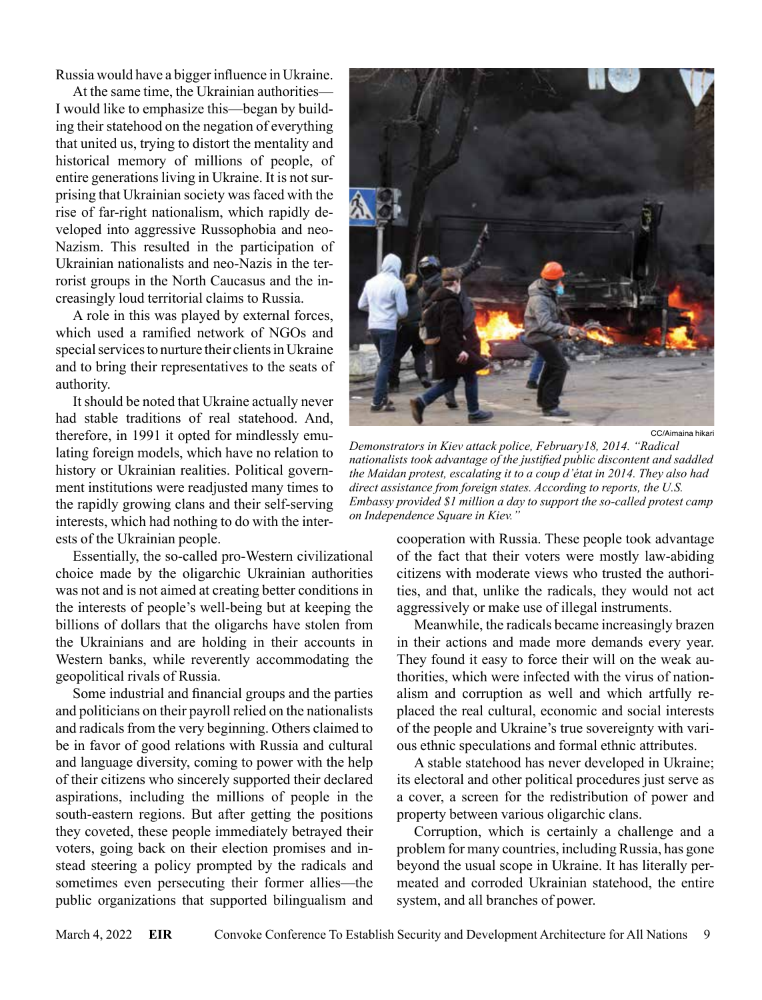Russia would have a bigger influence in Ukraine.

At the same time, the Ukrainian authorities— I would like to emphasize this—began by building their statehood on the negation of everything that united us, trying to distort the mentality and historical memory of millions of people, of entire generations living in Ukraine. It is not surprising that Ukrainian society was faced with the rise of far-right nationalism, which rapidly developed into aggressive Russophobia and neo-Nazism. This resulted in the participation of Ukrainian nationalists and neo-Nazis in the terrorist groups in the North Caucasus and the increasingly loud territorial claims to Russia.

A role in this was played by external forces, which used a ramified network of NGOs and special services to nurture their clients in Ukraine and to bring their representatives to the seats of authority.

It should be noted that Ukraine actually never had stable traditions of real statehood. And, therefore, in 1991 it opted for mindlessly emulating foreign models, which have no relation to history or Ukrainian realities. Political government institutions were readjusted many times to the rapidly growing clans and their self-serving interests, which had nothing to do with the interests of the Ukrainian people.

Essentially, the so-called pro-Western civilizational choice made by the oligarchic Ukrainian authorities was not and is not aimed at creating better conditions in the interests of people's well-being but at keeping the billions of dollars that the oligarchs have stolen from the Ukrainians and are holding in their accounts in Western banks, while reverently accommodating the geopolitical rivals of Russia.

Some industrial and financial groups and the parties and politicians on their payroll relied on the nationalists and radicals from the very beginning. Others claimed to be in favor of good relations with Russia and cultural and language diversity, coming to power with the help of their citizens who sincerely supported their declared aspirations, including the millions of people in the south-eastern regions. But after getting the positions they coveted, these people immediately betrayed their voters, going back on their election promises and instead steering a policy prompted by the radicals and sometimes even persecuting their former allies—the public organizations that supported bilingualism and



CC/Aimaina hikari

*Demonstrators in Kiev attack police, February18, 2014. "Radical nationalists took advantage of the justified public discontent and saddled the Maidan protest, escalating it to a coup d'état in 2014. They also had direct assistance from foreign states. According to reports, the U.S. Embassy provided \$1 million a day to support the so-called protest camp on Independence Square in Kiev."*

cooperation with Russia. These people took advantage of the fact that their voters were mostly law-abiding citizens with moderate views who trusted the authorities, and that, unlike the radicals, they would not act aggressively or make use of illegal instruments.

Meanwhile, the radicals became increasingly brazen in their actions and made more demands every year. They found it easy to force their will on the weak authorities, which were infected with the virus of nationalism and corruption as well and which artfully replaced the real cultural, economic and social interests of the people and Ukraine's true sovereignty with various ethnic speculations and formal ethnic attributes.

A stable statehood has never developed in Ukraine; its electoral and other political procedures just serve as a cover, a screen for the redistribution of power and property between various oligarchic clans.

Corruption, which is certainly a challenge and a problem for many countries, including Russia, has gone beyond the usual scope in Ukraine. It has literally permeated and corroded Ukrainian statehood, the entire system, and all branches of power.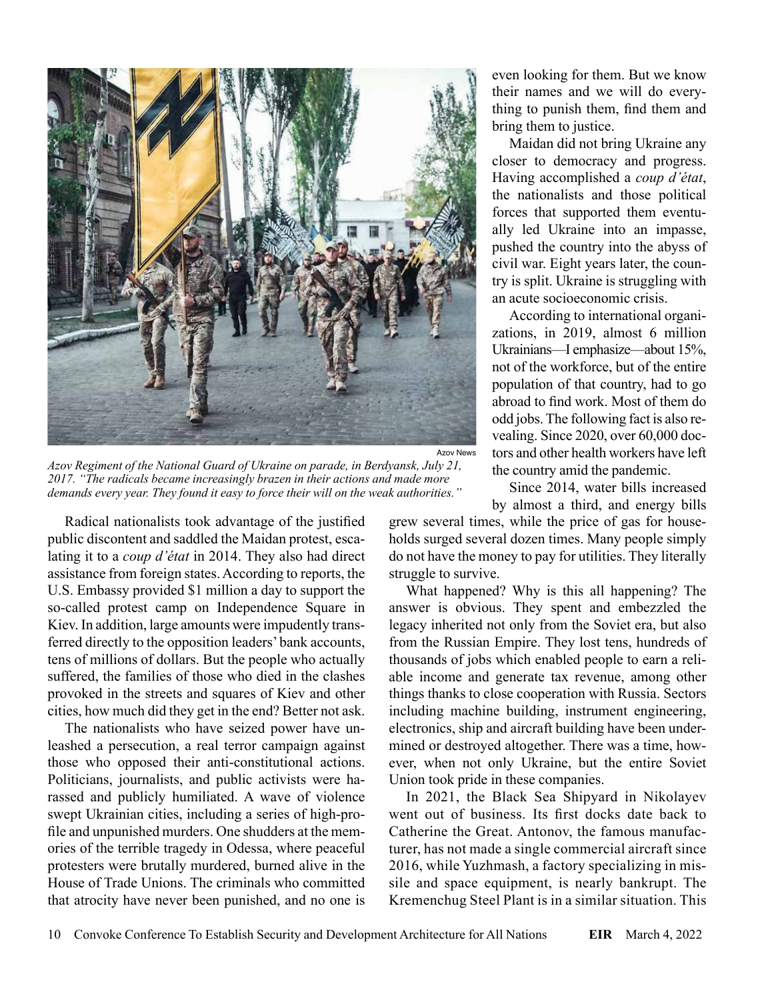

*Azov Regiment of the National Guard of Ukraine on parade, in Berdyansk, July 21, 2017. "The radicals became increasingly brazen in their actions and made more demands every year. They found it easy to force their will on the weak authorities."*

Radical nationalists took advantage of the justified public discontent and saddled the Maidan protest, escalating it to a *coup d'état* in 2014. They also had direct assistance from foreign states. According to reports, the U.S. Embassy provided \$1 million a day to support the so-called protest camp on Independence Square in Kiev. In addition, large amounts were impudently transferred directly to the opposition leaders' bank accounts, tens of millions of dollars. But the people who actually suffered, the families of those who died in the clashes provoked in the streets and squares of Kiev and other cities, how much did they get in the end? Better not ask.

The nationalists who have seized power have unleashed a persecution, a real terror campaign against those who opposed their anti-constitutional actions. Politicians, journalists, and public activists were harassed and publicly humiliated. A wave of violence swept Ukrainian cities, including a series of high-profile and unpunished murders. One shudders at the memories of the terrible tragedy in Odessa, where peaceful protesters were brutally murdered, burned alive in the House of Trade Unions. The criminals who committed that atrocity have never been punished, and no one is

even looking for them. But we know their names and we will do everything to punish them, find them and bring them to justice.

Maidan did not bring Ukraine any closer to democracy and progress. Having accomplished a *coup d'état*, the nationalists and those political forces that supported them eventually led Ukraine into an impasse, pushed the country into the abyss of civil war. Eight years later, the country is split. Ukraine is struggling with an acute socioeconomic crisis.

According to international organizations, in 2019, almost 6 million Ukrainians—I emphasize—about 15%, not of the workforce, but of the entire population of that country, had to go abroad to find work. Most of them do odd jobs. The following fact is also revealing. Since 2020, over 60,000 doctors and other health workers have left the country amid the pandemic.

Since 2014, water bills increased by almost a third, and energy bills

grew several times, while the price of gas for households surged several dozen times. Many people simply do not have the money to pay for utilities. They literally struggle to survive.

What happened? Why is this all happening? The answer is obvious. They spent and embezzled the legacy inherited not only from the Soviet era, but also from the Russian Empire. They lost tens, hundreds of thousands of jobs which enabled people to earn a reliable income and generate tax revenue, among other things thanks to close cooperation with Russia. Sectors including machine building, instrument engineering, electronics, ship and aircraft building have been undermined or destroyed altogether. There was a time, however, when not only Ukraine, but the entire Soviet Union took pride in these companies.

In 2021, the Black Sea Shipyard in Nikolayev went out of business. Its first docks date back to Catherine the Great. Antonov, the famous manufacturer, has not made a single commercial aircraft since 2016, while Yuzhmash, a factory specializing in missile and space equipment, is nearly bankrupt. The Kremenchug Steel Plant is in a similar situation. This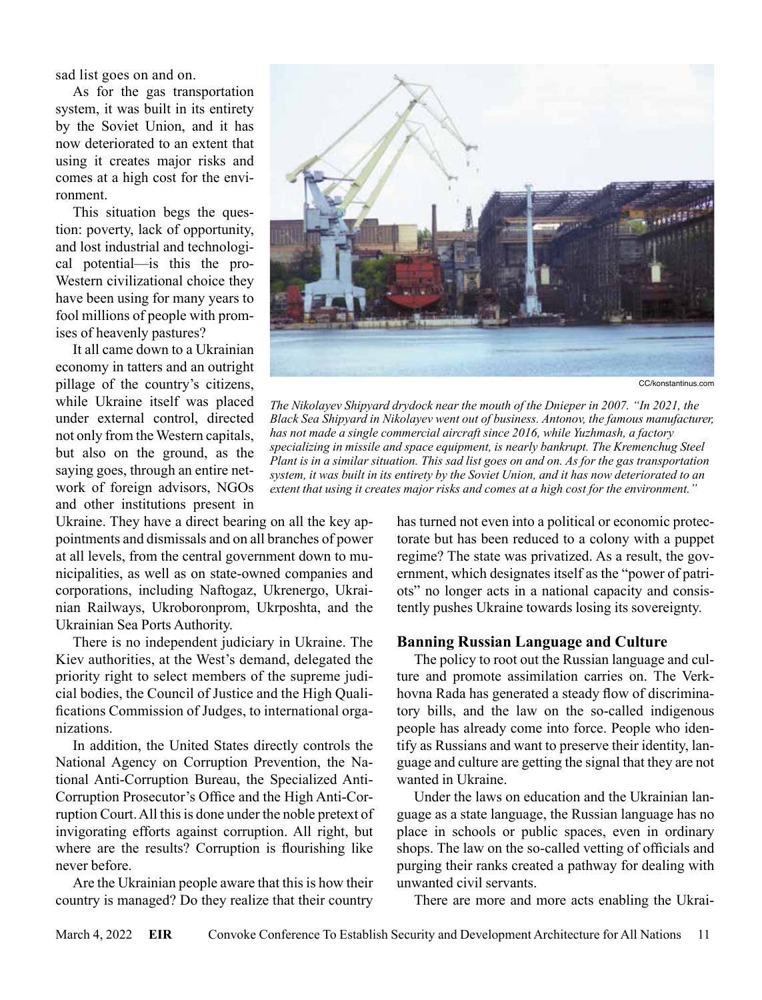sad list goes on and on.

As for the gas transportation system, it was built in its entirety by the Soviet Union, and it has now deteriorated to an extent that using it creates major risks and comes at a high cost for the environment.

This situation begs the question: poverty, lack of opportunity, and lost industrial and technological potential—is this the pro-Western civilizational choice they have been using for many years to fool millions of people with promises of heavenly pastures?

It all came down to a Ukrainian economy in tatters and an outright pillage of the country's citizens, while Ukraine itself was placed under external control, directed not only from the Western capitals, but also on the ground, as the saying goes, through an entire network of foreign advisors, NGOs and other institutions present in

Ukraine. They have a direct bearing on all the key appointments and dismissals and on all branches of power at all levels, from the central government down to municipalities, as well as on state-owned companies and corporations, including Naftogaz, Ukrenergo, Ukrainian Railways, Ukroboronprom, Ukrposhta, and the Ukrainian Sea Ports Authority.

There is no independent judiciary in Ukraine. The Kiev authorities, at the West's demand, delegated the priority right to select members of the supreme judicial bodies, the Council of Justice and the High Qualifications Commission of Judges, to international organizations.

In addition, the United States directly controls the National Agency on Corruption Prevention, the National Anti-Corruption Bureau, the Specialized Anti-Corruption Prosecutor's Office and the High Anti-Corruption Court. All this is done under the noble pretext of invigorating efforts against corruption. All right, but where are the results? Corruption is flourishing like never before.

Are the Ukrainian people aware that this is how their country is managed? Do they realize that their country



CC/konstantinus.com

*The Nikolayev Shipyard drydock near the mouth of the Dnieper in 2007. "In 2021, the Black Sea Shipyard in Nikolayev went out of business. Antonov, the famous manufacturer, has not made a single commercial aircraft since 2016, while Yuzhmash, a factory specializing in missile and space equipment, is nearly bankrupt. The Kremenchug Steel Plant is in a similar situation. This sad list goes on and on. As for the gas transportation system, it was built in its entirety by the Soviet Union, and it has now deteriorated to an extent that using it creates major risks and comes at a high cost for the environment."*

has turned not even into a political or economic protectorate but has been reduced to a colony with a puppet regime? The state was privatized. As a result, the government, which designates itself as the "power of patriots" no longer acts in a national capacity and consistently pushes Ukraine towards losing its sovereignty.

#### **Banning Russian Language and Culture**

The policy to root out the Russian language and culture and promote assimilation carries on. The Verkhovna Rada has generated a steady flow of discriminatory bills, and the law on the so-called indigenous people has already come into force. People who identify as Russians and want to preserve their identity, language and culture are getting the signal that they are not wanted in Ukraine.

Under the laws on education and the Ukrainian language as a state language, the Russian language has no place in schools or public spaces, even in ordinary shops. The law on the so-called vetting of officials and purging their ranks created a pathway for dealing with unwanted civil servants.

There are more and more acts enabling the Ukrai-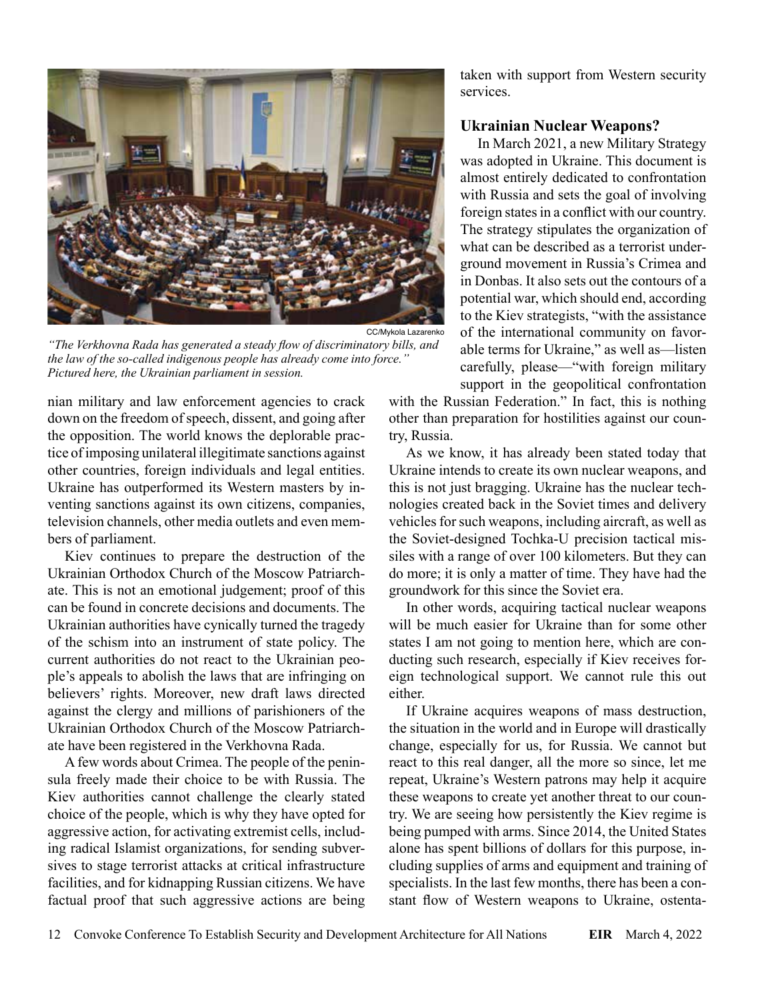

*"The Verkhovna Rada has generated a steady flow of discriminatory bills, and the law of the so-called indigenous people has already come into force." Pictured here, the Ukrainian parliament in session.*

nian military and law enforcement agencies to crack down on the freedom of speech, dissent, and going after the opposition. The world knows the deplorable practice of imposing unilateral illegitimate sanctions against other countries, foreign individuals and legal entities. Ukraine has outperformed its Western masters by inventing sanctions against its own citizens, companies, television channels, other media outlets and even members of parliament.

Kiev continues to prepare the destruction of the Ukrainian Orthodox Church of the Moscow Patriarchate. This is not an emotional judgement; proof of this can be found in concrete decisions and documents. The Ukrainian authorities have cynically turned the tragedy of the schism into an instrument of state policy. The current authorities do not react to the Ukrainian people's appeals to abolish the laws that are infringing on believers' rights. Moreover, new draft laws directed against the clergy and millions of parishioners of the Ukrainian Orthodox Church of the Moscow Patriarchate have been registered in the Verkhovna Rada.

A few words about Crimea. The people of the peninsula freely made their choice to be with Russia. The Kiev authorities cannot challenge the clearly stated choice of the people, which is why they have opted for aggressive action, for activating extremist cells, including radical Islamist organizations, for sending subversives to stage terrorist attacks at critical infrastructure facilities, and for kidnapping Russian citizens. We have factual proof that such aggressive actions are being taken with support from Western security services.

#### **Ukrainian Nuclear Weapons?**

In March 2021, a new Military Strategy was adopted in Ukraine. This document is almost entirely dedicated to confrontation with Russia and sets the goal of involving foreign states in a conflict with our country. The strategy stipulates the organization of what can be described as a terrorist underground movement in Russia's Crimea and in Donbas. It also sets out the contours of a potential war, which should end, according to the Kiev strategists, "with the assistance of the international community on favorable terms for Ukraine," as well as—listen carefully, please—"with foreign military support in the geopolitical confrontation

with the Russian Federation." In fact, this is nothing other than preparation for hostilities against our country, Russia.

As we know, it has already been stated today that Ukraine intends to create its own nuclear weapons, and this is not just bragging. Ukraine has the nuclear technologies created back in the Soviet times and delivery vehicles for such weapons, including aircraft, as well as the Soviet-designed Tochka-U precision tactical missiles with a range of over 100 kilometers. But they can do more; it is only a matter of time. They have had the groundwork for this since the Soviet era.

In other words, acquiring tactical nuclear weapons will be much easier for Ukraine than for some other states I am not going to mention here, which are conducting such research, especially if Kiev receives foreign technological support. We cannot rule this out either.

If Ukraine acquires weapons of mass destruction, the situation in the world and in Europe will drastically change, especially for us, for Russia. We cannot but react to this real danger, all the more so since, let me repeat, Ukraine's Western patrons may help it acquire these weapons to create yet another threat to our country. We are seeing how persistently the Kiev regime is being pumped with arms. Since 2014, the United States alone has spent billions of dollars for this purpose, including supplies of arms and equipment and training of specialists. In the last few months, there has been a constant flow of Western weapons to Ukraine, ostenta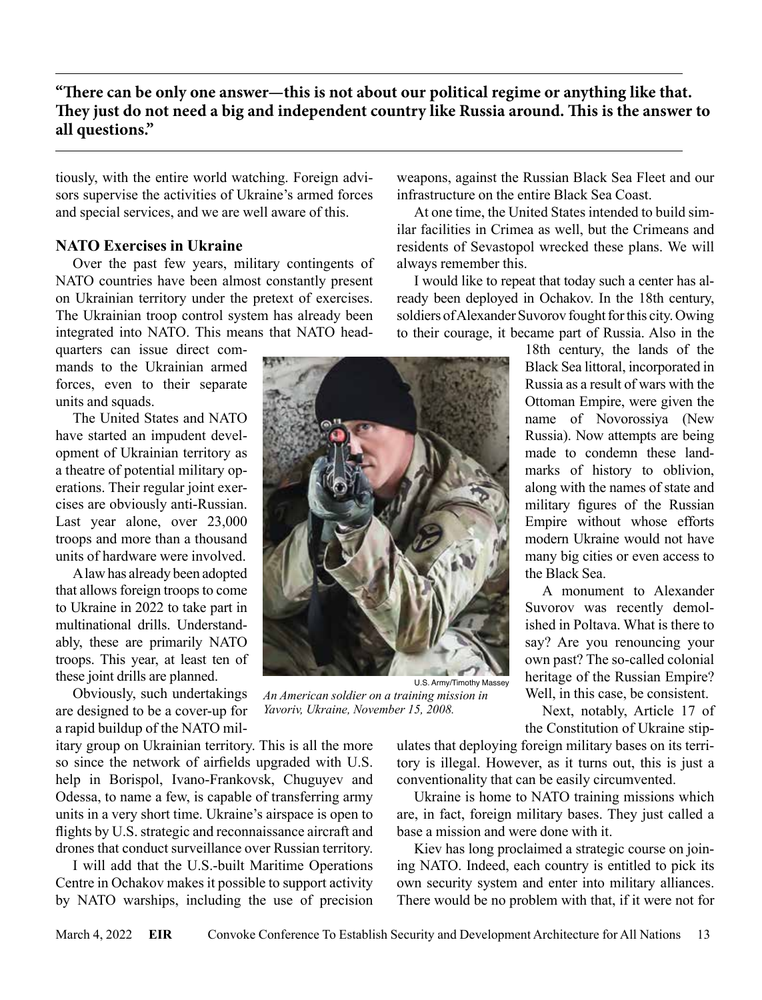tiously, with the entire world watching. Foreign advisors supervise the activities of Ukraine's armed forces and special services, and we are well aware of this.

# **NATO Exercises in Ukraine**

Over the past few years, military contingents of NATO countries have been almost constantly present on Ukrainian territory under the pretext of exercises. The Ukrainian troop control system has already been integrated into NATO. This means that NATO head-

quarters can issue direct commands to the Ukrainian armed forces, even to their separate units and squads.

The United States and NATO have started an impudent development of Ukrainian territory as a theatre of potential military operations. Their regular joint exercises are obviously anti-Russian. Last year alone, over 23,000 troops and more than a thousand units of hardware were involved.

A law has already been adopted that allows foreign troops to come to Ukraine in 2022 to take part in multinational drills. Understandably, these are primarily NATO troops. This year, at least ten of these joint drills are planned.

Obviously, such undertakings are designed to be a cover-up for a rapid buildup of the NATO mil-

itary group on Ukrainian territory. This is all the more so since the network of airfields upgraded with U.S. help in Borispol, Ivano-Frankovsk, Chuguyev and Odessa, to name a few, is capable of transferring army units in a very short time. Ukraine's airspace is open to flights by U.S. strategic and reconnaissance aircraft and drones that conduct surveillance over Russian territory.

I will add that the U.S.-built Maritime Operations Centre in Ochakov makes it possible to support activity by NATO warships, including the use of precision weapons, against the Russian Black Sea Fleet and our infrastructure on the entire Black Sea Coast.

At one time, the United States intended to build similar facilities in Crimea as well, but the Crimeans and residents of Sevastopol wrecked these plans. We will always remember this.

I would like to repeat that today such a center has already been deployed in Ochakov. In the 18th century, soldiers of Alexander Suvorov fought for this city. Owing to their courage, it became part of Russia. Also in the

18th century, the lands of the Black Sea littoral, incorporated in Russia as a result of wars with the Ottoman Empire, were given the name of Novorossiya (New Russia). Now attempts are being made to condemn these landmarks of history to oblivion, along with the names of state and military figures of the Russian Empire without whose efforts modern Ukraine would not have many big cities or even access to the Black Sea.

A monument to Alexander Suvorov was recently demolished in Poltava. What is there to say? Are you renouncing your own past? The so-called colonial heritage of the Russian Empire? Well, in this case, be consistent.

Next, notably, Article 17 of the Constitution of Ukraine stip-

ulates that deploying foreign military bases on its territory is illegal. However, as it turns out, this is just a conventionality that can be easily circumvented.

Ukraine is home to NATO training missions which are, in fact, foreign military bases. They just called a base a mission and were done with it.

Kiev has long proclaimed a strategic course on joining NATO. Indeed, each country is entitled to pick its own security system and enter into military alliances. There would be no problem with that, if it were not for

U.S. Army/Timothy Massey



*An American soldier on a training mission in Yavoriv, Ukraine, November 15, 2008.*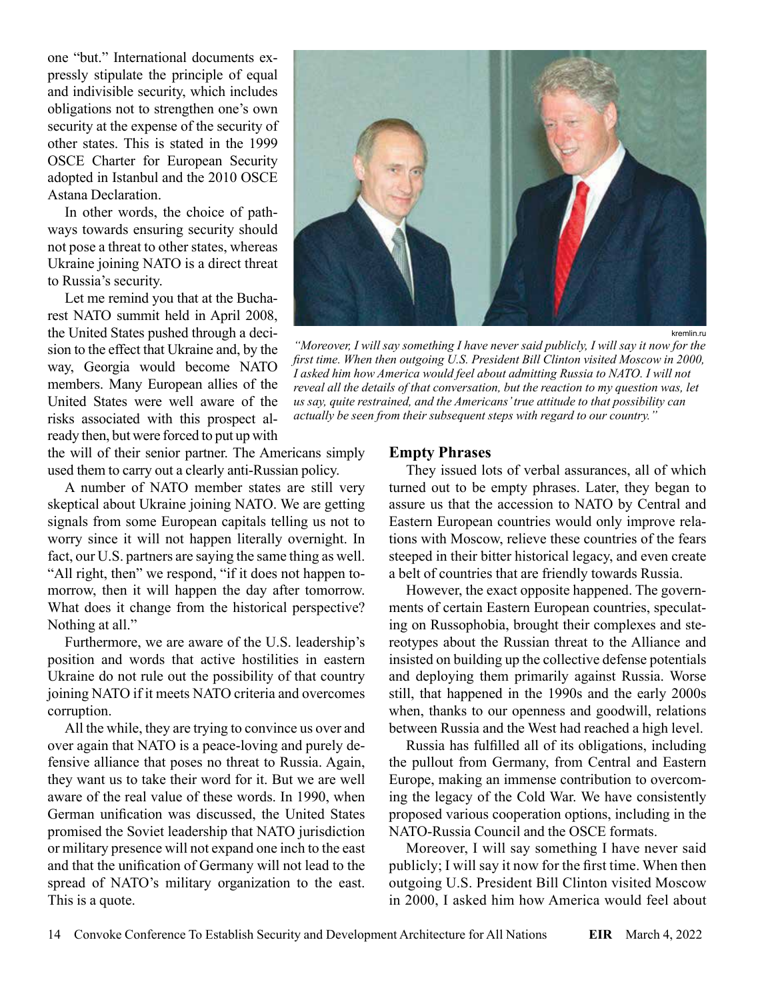one "but." International documents expressly stipulate the principle of equal and indivisible security, which includes obligations not to strengthen one's own security at the expense of the security of other states. This is stated in the 1999 OSCE Charter for European Security adopted in Istanbul and the 2010 OSCE Astana Declaration.

In other words, the choice of pathways towards ensuring security should not pose a threat to other states, whereas Ukraine joining NATO is a direct threat to Russia's security.

Let me remind you that at the Bucharest NATO summit held in April 2008, the United States pushed through a decision to the effect that Ukraine and, by the way, Georgia would become NATO members. Many European allies of the United States were well aware of the risks associated with this prospect already then, but were forced to put up with

kremlin.ru

*"Moreover, I will say something I have never said publicly, I will say it now for the*  first time. When then outgoing U.S. President Bill Clinton visited Moscow in 2000, I asked him how America would feel about admitting Russia to NATO. I will not *reveal all the details of that conversation, but the reaction to my question was, let us say, quite restrained, and the Americans' true attitude to that possibility can actually be seen from their subsequent steps with regard to our country."*

the will of their senior partner. The Americans simply used them to carry out a clearly anti-Russian policy.

A number of NATO member states are still very skeptical about Ukraine joining NATO. We are getting signals from some European capitals telling us not to worry since it will not happen literally overnight. In fact, our U.S. partners are saying the same thing as well. "All right, then" we respond, "if it does not happen tomorrow, then it will happen the day after tomorrow. What does it change from the historical perspective? Nothing at all."

Furthermore, we are aware of the U.S. leadership's position and words that active hostilities in eastern Ukraine do not rule out the possibility of that country joining NATO if it meets NATO criteria and overcomes corruption.

All the while, they are trying to convince us over and over again that NATO is a peace-loving and purely defensive alliance that poses no threat to Russia. Again, they want us to take their word for it. But we are well aware of the real value of these words. In 1990, when German unification was discussed, the United States promised the Soviet leadership that NATO jurisdiction or military presence will not expand one inch to the east and that the unification of Germany will not lead to the spread of NATO's military organization to the east. This is a quote.

#### **Empty Phrases**

They issued lots of verbal assurances, all of which turned out to be empty phrases. Later, they began to assure us that the accession to NATO by Central and Eastern European countries would only improve relations with Moscow, relieve these countries of the fears steeped in their bitter historical legacy, and even create a belt of countries that are friendly towards Russia.

However, the exact opposite happened. The governments of certain Eastern European countries, speculating on Russophobia, brought their complexes and stereotypes about the Russian threat to the Alliance and insisted on building up the collective defense potentials and deploying them primarily against Russia. Worse still, that happened in the 1990s and the early 2000s when, thanks to our openness and goodwill, relations between Russia and the West had reached a high level.

Russia has fulfilled all of its obligations, including the pullout from Germany, from Central and Eastern Europe, making an immense contribution to overcoming the legacy of the Cold War. We have consistently proposed various cooperation options, including in the NATO-Russia Council and the OSCE formats.

Moreover, I will say something I have never said publicly; I will say it now for the first time. When then outgoing U.S. President Bill Clinton visited Moscow in 2000, I asked him how America would feel about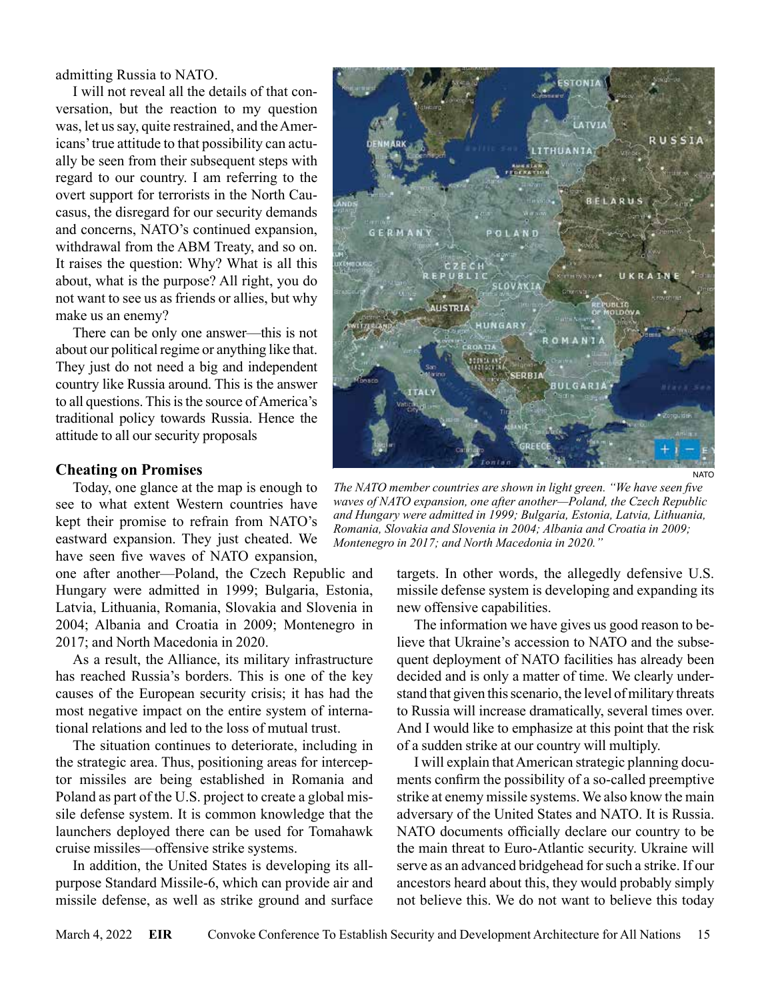admitting Russia to NATO.

I will not reveal all the details of that conversation, but the reaction to my question was, let us say, quite restrained, and the Americans' true attitude to that possibility can actually be seen from their subsequent steps with regard to our country. I am referring to the overt support for terrorists in the North Caucasus, the disregard for our security demands and concerns, NATO's continued expansion, withdrawal from the ABM Treaty, and so on. It raises the question: Why? What is all this about, what is the purpose? All right, you do not want to see us as friends or allies, but why make us an enemy?

There can be only one answer—this is not about our political regime or anything like that. They just do not need a big and independent country like Russia around. This is the answer to all questions. This is the source of America's traditional policy towards Russia. Hence the attitude to all our security proposals

### **Cheating on Promises**

Today, one glance at the map is enough to see to what extent Western countries have kept their promise to refrain from NATO's eastward expansion. They just cheated. We have seen five waves of NATO expansion,

one after another—Poland, the Czech Republic and Hungary were admitted in 1999; Bulgaria, Estonia, Latvia, Lithuania, Romania, Slovakia and Slovenia in 2004; Albania and Croatia in 2009; Montenegro in 2017; and North Macedonia in 2020.

As a result, the Alliance, its military infrastructure has reached Russia's borders. This is one of the key causes of the European security crisis; it has had the most negative impact on the entire system of international relations and led to the loss of mutual trust.

The situation continues to deteriorate, including in the strategic area. Thus, positioning areas for interceptor missiles are being established in Romania and Poland as part of the U.S. project to create a global missile defense system. It is common knowledge that the launchers deployed there can be used for Tomahawk cruise missiles—offensive strike systems.

In addition, the United States is developing its allpurpose Standard Missile-6, which can provide air and missile defense, as well as strike ground and surface



*The NATO member countries are shown in light green. "We have seen five waves of NATO expansion, one after another—Poland, the Czech Republic and Hungary were admitted in 1999; Bulgaria, Estonia, Latvia, Lithuania, Romania, Slovakia and Slovenia in 2004; Albania and Croatia in 2009; Montenegro in 2017; and North Macedonia in 2020."*

targets. In other words, the allegedly defensive U.S. missile defense system is developing and expanding its new offensive capabilities.

The information we have gives us good reason to believe that Ukraine's accession to NATO and the subsequent deployment of NATO facilities has already been decided and is only a matter of time. We clearly understand that given this scenario, the level of military threats to Russia will increase dramatically, several times over. And I would like to emphasize at this point that the risk of a sudden strike at our country will multiply.

I will explain that American strategic planning documents confirm the possibility of a so-called preemptive strike at enemy missile systems. We also know the main adversary of the United States and NATO. It is Russia. NATO documents officially declare our country to be the main threat to Euro-Atlantic security. Ukraine will serve as an advanced bridgehead for such a strike. If our ancestors heard about this, they would probably simply not believe this. We do not want to believe this today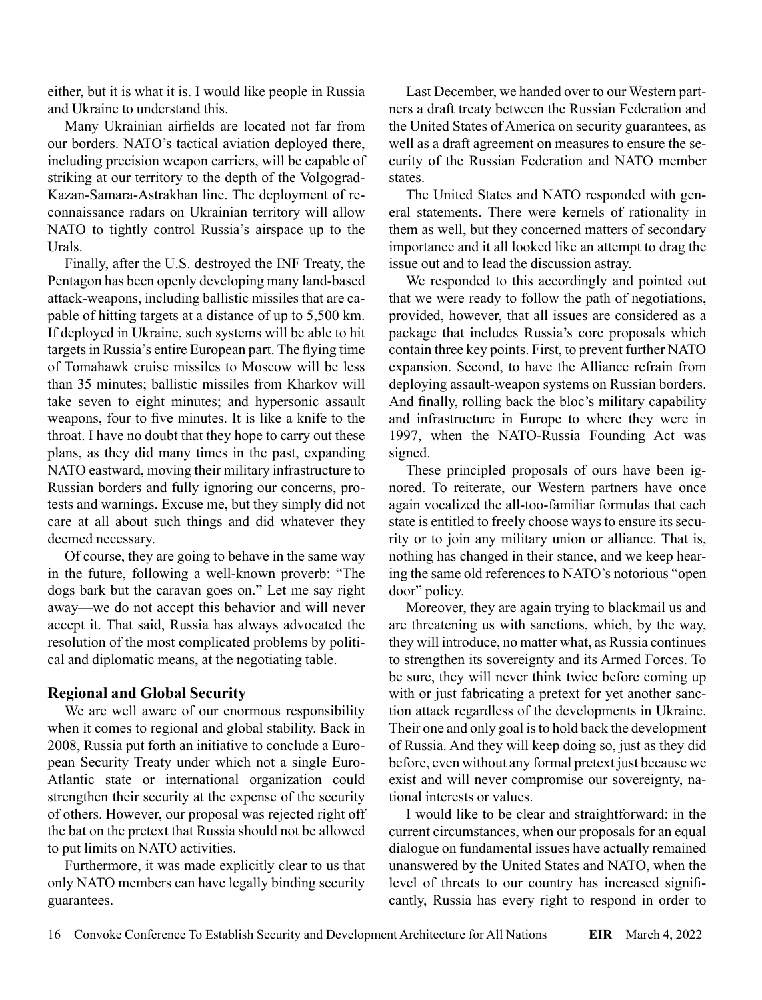either, but it is what it is. I would like people in Russia and Ukraine to understand this.

Many Ukrainian airfields are located not far from our borders. NATO's tactical aviation deployed there, including precision weapon carriers, will be capable of striking at our territory to the depth of the Volgograd-Kazan-Samara-Astrakhan line. The deployment of reconnaissance radars on Ukrainian territory will allow NATO to tightly control Russia's airspace up to the Urals.

Finally, after the U.S. destroyed the INF Treaty, the Pentagon has been openly developing many land-based attack-weapons, including ballistic missiles that are capable of hitting targets at a distance of up to 5,500 km. If deployed in Ukraine, such systems will be able to hit targets in Russia's entire European part. The flying time of Tomahawk cruise missiles to Moscow will be less than 35 minutes; ballistic missiles from Kharkov will take seven to eight minutes; and hypersonic assault weapons, four to five minutes. It is like a knife to the throat. I have no doubt that they hope to carry out these plans, as they did many times in the past, expanding NATO eastward, moving their military infrastructure to Russian borders and fully ignoring our concerns, protests and warnings. Excuse me, but they simply did not care at all about such things and did whatever they deemed necessary.

Of course, they are going to behave in the same way in the future, following a well-known proverb: "The dogs bark but the caravan goes on." Let me say right away—we do not accept this behavior and will never accept it. That said, Russia has always advocated the resolution of the most complicated problems by political and diplomatic means, at the negotiating table.

# **Regional and Global Security**

We are well aware of our enormous responsibility when it comes to regional and global stability. Back in 2008, Russia put forth an initiative to conclude a European Security Treaty under which not a single Euro-Atlantic state or international organization could strengthen their security at the expense of the security of others. However, our proposal was rejected right off the bat on the pretext that Russia should not be allowed to put limits on NATO activities.

Furthermore, it was made explicitly clear to us that only NATO members can have legally binding security guarantees.

Last December, we handed over to our Western partners a draft treaty between the Russian Federation and the United States of America on security guarantees, as well as a draft agreement on measures to ensure the security of the Russian Federation and NATO member states.

The United States and NATO responded with general statements. There were kernels of rationality in them as well, but they concerned matters of secondary importance and it all looked like an attempt to drag the issue out and to lead the discussion astray.

We responded to this accordingly and pointed out that we were ready to follow the path of negotiations, provided, however, that all issues are considered as a package that includes Russia's core proposals which contain three key points. First, to prevent further NATO expansion. Second, to have the Alliance refrain from deploying assault-weapon systems on Russian borders. And finally, rolling back the bloc's military capability and infrastructure in Europe to where they were in 1997, when the NATO-Russia Founding Act was signed.

These principled proposals of ours have been ignored. To reiterate, our Western partners have once again vocalized the all-too-familiar formulas that each state is entitled to freely choose ways to ensure its security or to join any military union or alliance. That is, nothing has changed in their stance, and we keep hearing the same old references to NATO's notorious "open door" policy.

Moreover, they are again trying to blackmail us and are threatening us with sanctions, which, by the way, they will introduce, no matter what, as Russia continues to strengthen its sovereignty and its Armed Forces. To be sure, they will never think twice before coming up with or just fabricating a pretext for yet another sanction attack regardless of the developments in Ukraine. Their one and only goal is to hold back the development of Russia. And they will keep doing so, just as they did before, even without any formal pretext just because we exist and will never compromise our sovereignty, national interests or values.

I would like to be clear and straightforward: in the current circumstances, when our proposals for an equal dialogue on fundamental issues have actually remained unanswered by the United States and NATO, when the level of threats to our country has increased significantly, Russia has every right to respond in order to